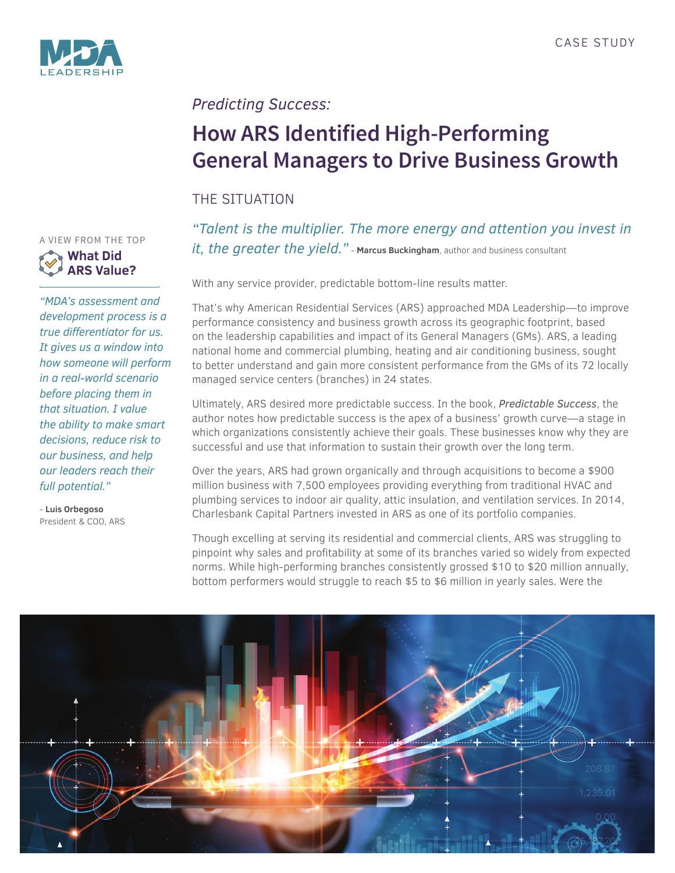

# *Predicting Success:*

# **How ARS Identified High-Performing General Managers to Drive Business Growth**

## THE SITUATION

*"Talent is the multiplier. The more energy and attention you invest in it, the greater the yield."* - **Marcus Buckingham**, author and business consultant

With any service provider, predictable bottom-line results matter.

That's why American Residential Services (ARS) approached MDA Leadership—to improve performance consistency and business growth across its geographic footprint, based on the leadership capabilities and impact of its General Managers (GMs). ARS, a leading national home and commercial plumbing, heating and air conditioning business, sought to better understand and gain more consistent performance from the GMs of its 72 locally managed service centers (branches) in 24 states.

Ultimately, ARS desired more predictable success. In the book, *Predictable Success*, the author notes how predictable success is the apex of a business' growth curve—a stage in which organizations consistently achieve their goals. These businesses know why they are successful and use that information to sustain their growth over the long term.

Over the years, ARS had grown organically and through acquisitions to become a \$900 million business with 7,500 employees providing everything from traditional HVAC and plumbing services to indoor air quality, attic insulation, and ventilation services. In 2014, Charlesbank Capital Partners invested in ARS as one of its portfolio companies.

Though excelling at serving its residential and commercial clients, ARS was struggling to pinpoint why sales and profitability at some of its branches varied so widely from expected norms. While high-performing branches consistently grossed \$10 to \$20 million annually, bottom performers would struggle to reach \$5 to \$6 million in yearly sales. Were the



A VIEW FROM THE TOP **What Did ARS Value?**

*"MDA's assessment and development process is a true differentiator for us. It gives us a window into how someone will perform in a real-world scenario before placing them in that situation. I value the ability to make smart decisions, reduce risk to our business, and help our leaders reach their full potential."*

- **Luis Orbegoso** President & COO, ARS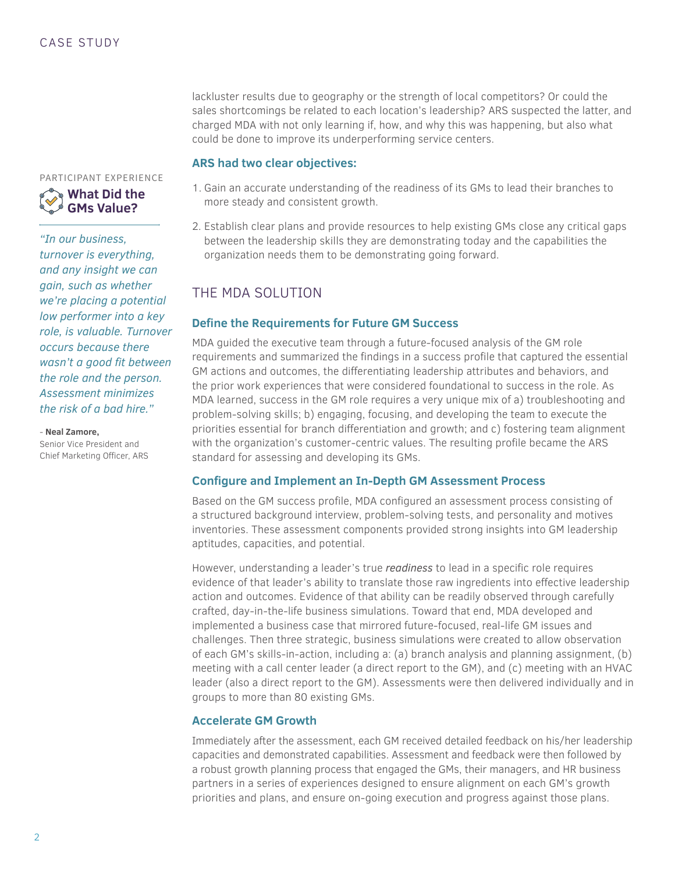lackluster results due to geography or the strength of local competitors? Or could the sales shortcomings be related to each location's leadership? ARS suspected the latter, and charged MDA with not only learning if, how, and why this was happening, but also what could be done to improve its underperforming service centers.

### **ARS had two clear objectives:**

- 1. Gain an accurate understanding of the readiness of its GMs to lead their branches to more steady and consistent growth.
- 2. Establish clear plans and provide resources to help existing GMs close any critical gaps between the leadership skills they are demonstrating today and the capabilities the organization needs them to be demonstrating going forward.

### THE MDA SOLUTION

### **Define the Requirements for Future GM Success**

MDA guided the executive team through a future-focused analysis of the GM role requirements and summarized the findings in a success profile that captured the essential GM actions and outcomes, the differentiating leadership attributes and behaviors, and the prior work experiences that were considered foundational to success in the role. As MDA learned, success in the GM role requires a very unique mix of a) troubleshooting and problem-solving skills; b) engaging, focusing, and developing the team to execute the priorities essential for branch differentiation and growth; and c) fostering team alignment with the organization's customer-centric values. The resulting profile became the ARS standard for assessing and developing its GMs.

### **Configure and Implement an In-Depth GM Assessment Process**

Based on the GM success profile, MDA configured an assessment process consisting of a structured background interview, problem-solving tests, and personality and motives inventories. These assessment components provided strong insights into GM leadership aptitudes, capacities, and potential.

However, understanding a leader's true *readiness* to lead in a specific role requires evidence of that leader's ability to translate those raw ingredients into effective leadership action and outcomes. Evidence of that ability can be readily observed through carefully crafted, day-in-the-life business simulations. Toward that end, MDA developed and implemented a business case that mirrored future-focused, real-life GM issues and challenges. Then three strategic, business simulations were created to allow observation of each GM's skills-in-action, including a: (a) branch analysis and planning assignment, (b) meeting with a call center leader (a direct report to the GM), and (c) meeting with an HVAC leader (also a direct report to the GM). Assessments were then delivered individually and in groups to more than 80 existing GMs.

### **Accelerate GM Growth**

Immediately after the assessment, each GM received detailed feedback on his/her leadership capacities and demonstrated capabilities. Assessment and feedback were then followed by a robust growth planning process that engaged the GMs, their managers, and HR business partners in a series of experiences designed to ensure alignment on each GM's growth priorities and plans, and ensure on-going execution and progress against those plans.



*"In our business, turnover is everything, and any insight we can gain, such as whether we're placing a potential low performer into a key role, is valuable. Turnover occurs because there wasn't a good fit between the role and the person. Assessment minimizes the risk of a bad hire."*

- **Neal Zamore,**

Senior Vice President and Chief Marketing Officer, ARS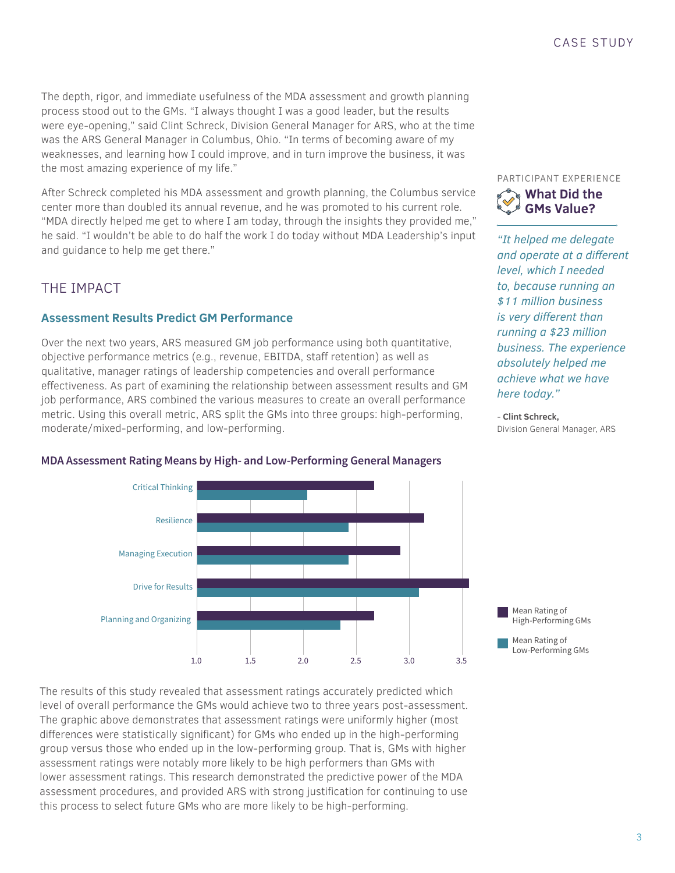The depth, rigor, and immediate usefulness of the MDA assessment and growth planning process stood out to the GMs. "I always thought I was a good leader, but the results were eye-opening," said Clint Schreck, Division General Manager for ARS, who at the time was the ARS General Manager in Columbus, Ohio. "In terms of becoming aware of my weaknesses, and learning how I could improve, and in turn improve the business, it was the most amazing experience of my life."

After Schreck completed his MDA assessment and growth planning, the Columbus service center more than doubled its annual revenue, and he was promoted to his current role. "MDA directly helped me get to where I am today, through the insights they provided me," he said. "I wouldn't be able to do half the work I do today without MDA Leadership's input and guidance to help me get there."

### THE IMPACT

### **Assessment Results Predict GM Performance**

Over the next two years, ARS measured GM job performance using both quantitative, objective performance metrics (e.g., revenue, EBITDA, staff retention) as well as qualitative, manager ratings of leadership competencies and overall performance effectiveness. As part of examining the relationship between assessment results and GM job performance, ARS combined the various measures to create an overall performance metric. Using this overall metric, ARS split the GMs into three groups: high-performing, moderate/mixed-performing, and low-performing.

#### PARTICIPANT EXPERIENCE



*"It helped me delegate and operate at a different level, which I needed to, because running an \$11 million business is very different than running a \$23 million business. The experience absolutely helped me achieve what we have here today."*

- **Clint Schreck,** Division General Manager, ARS



### MDA Assessment Rating Means by High- and Low-Performing General Managers

The results of this study revealed that assessment ratings accurately predicted which level of overall performance the GMs would achieve two to three years post-assessment. The graphic above demonstrates that assessment ratings were uniformly higher (most differences were statistically significant) for GMs who ended up in the high-performing group versus those who ended up in the low-performing group. That is, GMs with higher assessment ratings were notably more likely to be high performers than GMs with lower assessment ratings. This research demonstrated the predictive power of the MDA assessment procedures, and provided ARS with strong justification for continuing to use this process to select future GMs who are more likely to be high-performing.